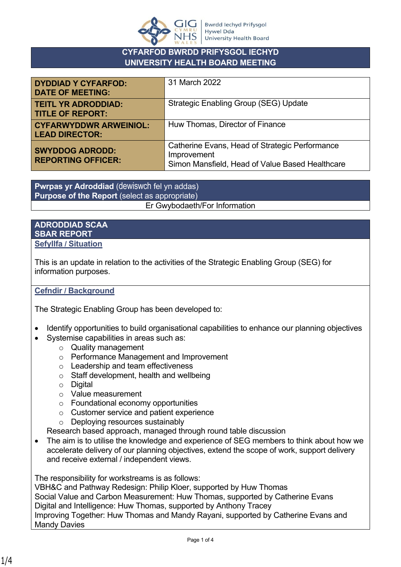

### **CYFARFOD BWRDD PRIFYSGOL IECHYD UNIVERSITY HEALTH BOARD MEETING**

| <b>DYDDIAD Y CYFARFOD:</b><br><b>DATE OF MEETING:</b>  | 31 March 2022                                                                                                    |
|--------------------------------------------------------|------------------------------------------------------------------------------------------------------------------|
| <b>TEITL YR ADRODDIAD:</b><br><b>TITLE OF REPORT:</b>  | <b>Strategic Enabling Group (SEG) Update</b>                                                                     |
| <b>CYFARWYDDWR ARWEINIOL:</b><br><b>LEAD DIRECTOR:</b> | Huw Thomas, Director of Finance                                                                                  |
| <b>SWYDDOG ADRODD:</b><br><b>REPORTING OFFICER:</b>    | Catherine Evans, Head of Strategic Performance<br>Improvement<br>Simon Mansfield, Head of Value Based Healthcare |

**Pwrpas yr Adroddiad** (dewiswch fel yn addas) **Purpose of the Report** (select as appropriate) Er Gwybodaeth/For Information

#### **ADRODDIAD SCAA SBAR REPORT Sefyllfa / Situation**

This is an update in relation to the activities of the Strategic Enabling Group (SEG) for information purposes.

### **Cefndir / Background**

The Strategic Enabling Group has been developed to:

- Identify opportunities to build organisational capabilities to enhance our planning objectives
- Systemise capabilities in areas such as:
	- o Quality management
	- o Performance Management and Improvement
	- o Leadership and team effectiveness
	- o Staff development, health and wellbeing
	- o Digital
	- o Value measurement
	- o Foundational economy opportunities
	- o Customer service and patient experience
	- o Deploying resources sustainably

Research based approach, managed through round table discussion

• The aim is to utilise the knowledge and experience of SEG members to think about how we accelerate delivery of our planning objectives, extend the scope of work, support delivery and receive external / independent views.

The responsibility for workstreams is as follows:

VBH&C and Pathway Redesign: Philip Kloer, supported by Huw Thomas Social Value and Carbon Measurement: Huw Thomas, supported by Catherine Evans Digital and Intelligence: Huw Thomas, supported by Anthony Tracey Improving Together: Huw Thomas and Mandy Rayani, supported by Catherine Evans and Mandy Davies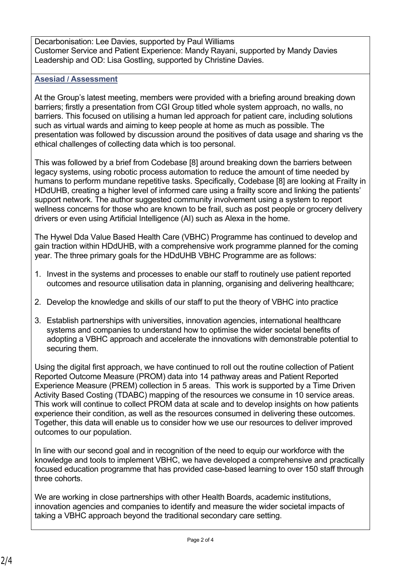Decarbonisation: Lee Davies, supported by Paul Williams Customer Service and Patient Experience: Mandy Rayani, supported by Mandy Davies Leadership and OD: Lisa Gostling, supported by Christine Davies.

## **Asesiad / Assessment**

At the Group's latest meeting, members were provided with a briefing around breaking down barriers; firstly a presentation from CGI Group titled whole system approach, no walls, no barriers. This focused on utilising a human led approach for patient care, including solutions such as virtual wards and aiming to keep people at home as much as possible. The presentation was followed by discussion around the positives of data usage and sharing vs the ethical challenges of collecting data which is too personal.

This was followed by a brief from Codebase [8] around breaking down the barriers between legacy systems, using robotic process automation to reduce the amount of time needed by humans to perform mundane repetitive tasks. Specifically, Codebase [8] are looking at Frailty in HDdUHB, creating a higher level of informed care using a frailty score and linking the patients' support network. The author suggested community involvement using a system to report wellness concerns for those who are known to be frail, such as post people or grocery delivery drivers or even using Artificial Intelligence (AI) such as Alexa in the home.

The Hywel Dda Value Based Health Care (VBHC) Programme has continued to develop and gain traction within HDdUHB, with a comprehensive work programme planned for the coming year. The three primary goals for the HDdUHB VBHC Programme are as follows:

- 1. Invest in the systems and processes to enable our staff to routinely use patient reported outcomes and resource utilisation data in planning, organising and delivering healthcare;
- 2. Develop the knowledge and skills of our staff to put the theory of VBHC into practice
- 3. Establish partnerships with universities, innovation agencies, international healthcare systems and companies to understand how to optimise the wider societal benefits of adopting a VBHC approach and accelerate the innovations with demonstrable potential to securing them.

Using the digital first approach, we have continued to roll out the routine collection of Patient Reported Outcome Measure (PROM) data into 14 pathway areas and Patient Reported Experience Measure (PREM) collection in 5 areas. This work is supported by a Time Driven Activity Based Costing (TDABC) mapping of the resources we consume in 10 service areas. This work will continue to collect PROM data at scale and to develop insights on how patients experience their condition, as well as the resources consumed in delivering these outcomes. Together, this data will enable us to consider how we use our resources to deliver improved outcomes to our population.

In line with our second goal and in recognition of the need to equip our workforce with the knowledge and tools to implement VBHC, we have developed a comprehensive and practically focused education programme that has provided case-based learning to over 150 staff through three cohorts.

We are working in close partnerships with other Health Boards, academic institutions, innovation agencies and companies to identify and measure the wider societal impacts of taking a VBHC approach beyond the traditional secondary care setting.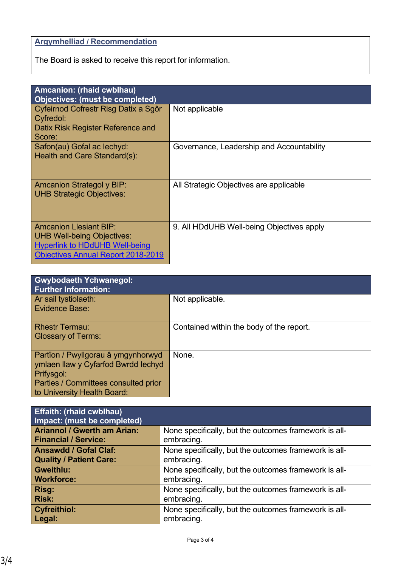# **Argymhelliad / Recommendation**

The Board is asked to receive this report for information.

| Amcanion: (rhaid cwblhau)                                                                                                                                |                                           |  |
|----------------------------------------------------------------------------------------------------------------------------------------------------------|-------------------------------------------|--|
| <b>Objectives: (must be completed)</b>                                                                                                                   |                                           |  |
| Cyfeirnod Cofrestr Risg Datix a Sgôr<br>Cyfredol:                                                                                                        | Not applicable                            |  |
| Datix Risk Register Reference and<br>Score:                                                                                                              |                                           |  |
| Safon(au) Gofal ac lechyd:<br>Health and Care Standard(s):                                                                                               | Governance, Leadership and Accountability |  |
| <b>Amcanion Strategol y BIP:</b><br><b>UHB Strategic Objectives:</b>                                                                                     | All Strategic Objectives are applicable   |  |
| <b>Amcanion Llesiant BIP:</b><br><b>UHB Well-being Objectives:</b><br><b>Hyperlink to HDdUHB Well-being</b><br><b>Objectives Annual Report 2018-2019</b> | 9. All HDdUHB Well-being Objectives apply |  |

| <b>Gwybodaeth Ychwanegol:</b><br><b>Further Information:</b>                                                                                                   |                                          |
|----------------------------------------------------------------------------------------------------------------------------------------------------------------|------------------------------------------|
| Ar sail tystiolaeth:<br>Evidence Base:                                                                                                                         | Not applicable.                          |
| <b>Rhestr Termau:</b><br><b>Glossary of Terms:</b>                                                                                                             | Contained within the body of the report. |
| Partïon / Pwyllgorau â ymgynhorwyd<br>ymlaen llaw y Cyfarfod Bwrdd lechyd<br>Prifysgol:<br>Parties / Committees consulted prior<br>to University Health Board: | None.                                    |

| <b>Effaith: (rhaid cwblhau)</b><br>Impact: (must be completed) |                                                       |
|----------------------------------------------------------------|-------------------------------------------------------|
| <b>Ariannol / Gwerth am Arian:</b>                             | None specifically, but the outcomes framework is all- |
| <b>Financial / Service:</b>                                    | embracing.                                            |
| <b>Ansawdd / Gofal Claf:</b>                                   | None specifically, but the outcomes framework is all- |
| <b>Quality / Patient Care:</b>                                 | embracing.                                            |
| <b>Gweithlu:</b>                                               | None specifically, but the outcomes framework is all- |
| <b>Workforce:</b>                                              | embracing.                                            |
| Risg:                                                          | None specifically, but the outcomes framework is all- |
| <b>Risk:</b>                                                   | embracing.                                            |
| <b>Cyfreithiol:</b>                                            | None specifically, but the outcomes framework is all- |
| Legal:                                                         | embracing.                                            |